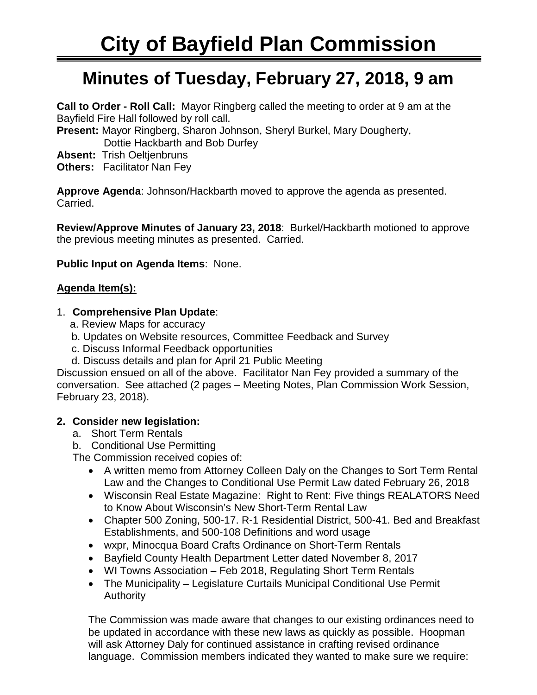# **Minutes of Tuesday, February 27, 2018, 9 am**

**Call to Order - Roll Call:** Mayor Ringberg called the meeting to order at 9 am at the Bayfield Fire Hall followed by roll call.

**Present:** Mayor Ringberg, Sharon Johnson, Sheryl Burkel, Mary Dougherty,

Dottie Hackbarth and Bob Durfey

**Absent:** Trish Oeltjenbruns

**Others:** Facilitator Nan Fey

**Approve Agenda**: Johnson/Hackbarth moved to approve the agenda as presented. Carried.

**Review/Approve Minutes of January 23, 2018**: Burkel/Hackbarth motioned to approve the previous meeting minutes as presented. Carried.

**Public Input on Agenda Items**: None.

## **Agenda Item(s):**

#### 1. **Comprehensive Plan Update**:

- a. Review Maps for accuracy
- b. Updates on Website resources, Committee Feedback and Survey
- c. Discuss Informal Feedback opportunities
- d. Discuss details and plan for April 21 Public Meeting

Discussion ensued on all of the above. Facilitator Nan Fey provided a summary of the conversation. See attached (2 pages – Meeting Notes, Plan Commission Work Session, February 23, 2018).

## **2. Consider new legislation:**

- a. Short Term Rentals
- b. Conditional Use Permitting

The Commission received copies of:

- A written memo from Attorney Colleen Daly on the Changes to Sort Term Rental Law and the Changes to Conditional Use Permit Law dated February 26, 2018
- Wisconsin Real Estate Magazine: Right to Rent: Five things REALATORS Need to Know About Wisconsin's New Short-Term Rental Law
- Chapter 500 Zoning, 500-17. R-1 Residential District, 500-41. Bed and Breakfast Establishments, and 500-108 Definitions and word usage
- wxpr, Minocqua Board Crafts Ordinance on Short-Term Rentals
- Bayfield County Health Department Letter dated November 8, 2017
- WI Towns Association Feb 2018, Regulating Short Term Rentals
- The Municipality Legislature Curtails Municipal Conditional Use Permit **Authority**

The Commission was made aware that changes to our existing ordinances need to be updated in accordance with these new laws as quickly as possible. Hoopman will ask Attorney Daly for continued assistance in crafting revised ordinance language. Commission members indicated they wanted to make sure we require: